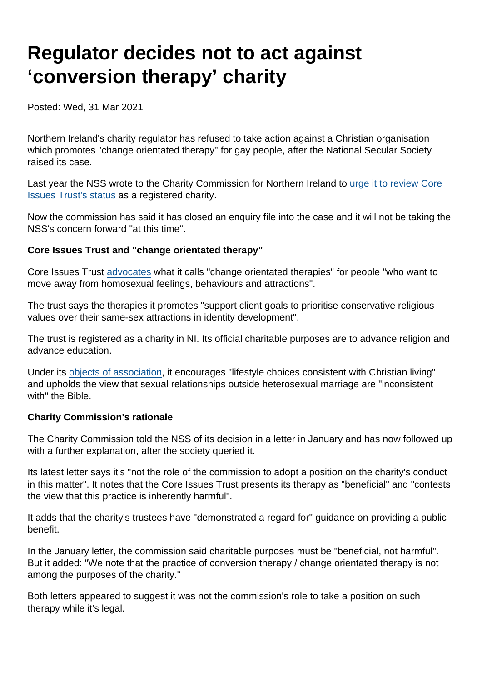## Regulator decides not to act against 'conversion therapy' charity

Posted: Wed, 31 Mar 2021

Northern Ireland's charity regulator has refused to take action against a Christian organisation which promotes "change orientated therapy" for gay people, after the National Secular Society raised its case.

Last year the NSS wrote to the Charity Commission for Northern Ireland to [urge it to review Core](https://www.secularism.org.uk/news/2020/05/review-status-of-charity-promoting-conversion-therapy-nss-says) [Issues Trust's status](https://www.secularism.org.uk/news/2020/05/review-status-of-charity-promoting-conversion-therapy-nss-says) as a registered charity.

Now the commission has said it has closed an enquiry file into the case and it will not be taking the NSS's concern forward "at this time".

Core Issues Trust and "change orientated therapy"

Core Issues Trust [advocates](https://www.core-issues.org/change-oriented-therapy) what it calls "change orientated therapies" for people "who want to move away from homosexual feelings, behaviours and attractions".

The trust says the therapies it promotes "support client goals to prioritise conservative religious values over their same-sex attractions in identity development".

The trust is registered as a charity in NI. Its official charitable purposes are to advance religion and advance education.

Under its [objects of association](https://www.core-issues.org/objects-of-association), it encourages "lifestyle choices consistent with Christian living" and upholds the view that sexual relationships outside heterosexual marriage are "inconsistent with" the Bible.

Charity Commission's rationale

The Charity Commission told the NSS of its decision in a letter in January and has now followed up with a further explanation, after the society queried it.

Its latest letter says it's "not the role of the commission to adopt a position on the charity's conduct in this matter". It notes that the Core Issues Trust presents its therapy as "beneficial" and "contests the view that this practice is inherently harmful".

It adds that the charity's trustees have "demonstrated a regard for" guidance on providing a public benefit.

In the January letter, the commission said charitable purposes must be "beneficial, not harmful". But it added: "We note that the practice of conversion therapy / change orientated therapy is not among the purposes of the charity."

Both letters appeared to suggest it was not the commission's role to take a position on such therapy while it's legal.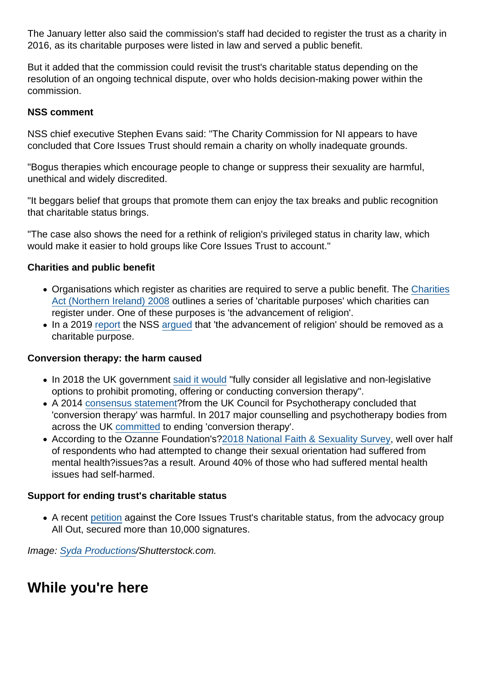The January letter also said the commission's staff had decided to register the trust as a charity in 2016, as its charitable purposes were listed in law and served a public benefit.

But it added that the commission could revisit the trust's charitable status depending on the resolution of an ongoing technical dispute, over who holds decision-making power within the commission.

NSS comment

NSS chief executive Stephen Evans said: "The Charity Commission for NI appears to have concluded that Core Issues Trust should remain a charity on wholly inadequate grounds.

"Bogus therapies which encourage people to change or suppress their sexuality are harmful, unethical and widely discredited.

"It beggars belief that groups that promote them can enjoy the tax breaks and public recognition that charitable status brings.

"The case also shows the need for a rethink of religion's privileged status in charity law, which would make it easier to hold groups like Core Issues Trust to account."

Charities and public benefit

- Organisations which register as charities are required to serve a public benefit. The [Charities](http://www.legislation.gov.uk/nia/2008/12/section/2) [Act \(Northern Ireland\) 2008](http://www.legislation.gov.uk/nia/2008/12/section/2) outlines a series of 'charitable purposes' which charities can register under. One of these purposes is 'the advancement of religion'.
- In a 2019 [report](https://www.secularism.org.uk/uploads/nss-advancement-of-religion-charity-report-(electronic).pdf) the NSS [argued](https://www.secularism.org.uk/news/2019/03/over-12000-charities-exist-only-to-promote-religion-nss-reveals) that 'the advancement of religion' should be removed as a charitable purpose.

Conversion therapy: the harm caused

- In 2018 the UK government [said it would](https://www.secularism.org.uk/news/2018/07/nss-welcomes-government-plan-to-ban-lgbt-conversion-therapy) "fully consider all legislative and non-legislative options to prohibit promoting, offering or conducting conversion therapy".
- A 2014 [consensus statement?](https://www.secularism.org.uk/uploads/uk-council-for-psychotherapy-consensus-statement-on-conversion-therapy.pdf?v=1502895374)from the UK Council for Psychotherapy concluded that 'conversion therapy' was harmful. In 2017 major counselling and psychotherapy bodies from across the UK [committed](https://www.secularism.org.uk/uploads/memorandum-of-understanding-on-conversion-therapy-(2017).pdf?v=1516266672) to ending 'conversion therapy'.
- According to the Ozanne Foundation's[?2018 National Faith & Sexuality Survey,](https://ozanne.foundation/faith-sexuality-survey-2018/) well over half of respondents who had attempted to change their sexual orientation had suffered from mental health?issues?as a result. Around 40% of those who had suffered mental health issues had self-harmed.

Support for ending trust's charitable status

A recent [petition](https://action.allout.org/en/m/6a7443f2/) against the Core Issues Trust's charitable status, from the advocacy group All Out, secured more than 10,000 signatures.

Image: [Syda Productions](https://www.shutterstock.com/g/dolgachov)/Shutterstock.com.

While you're here